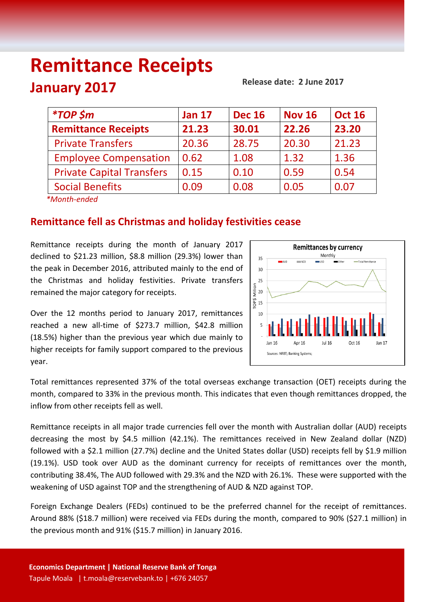# **Remittance Receipts January 2017**

**Release date: 2 June 2017**

| <i><b>*TOP \$m</b></i>           | <b>Jan 17</b> | <b>Dec 16</b> | <b>Nov 16</b> | <b>Oct 16</b> |
|----------------------------------|---------------|---------------|---------------|---------------|
| <b>Remittance Receipts</b>       | 21.23         | 30.01         | 22.26         | 23.20         |
| <b>Private Transfers</b>         | 20.36         | 28.75         | 20.30         | 21.23         |
| <b>Employee Compensation</b>     | 0.62          | 1.08          | 1.32          | 1.36          |
| <b>Private Capital Transfers</b> | 0.15          | 0.10          | 0.59          | 0.54          |
| <b>Social Benefits</b>           | 0.09          | 0.08          | 0.05          | 0.07          |
| $*Month and od$                  |               |               |               |               |

*\*Month-ended*

# **Remittance fell as Christmas and holiday festivities cease**

Remittance receipts during the month of January 2017 declined to \$21.23 million, \$8.8 million (29.3%) lower than the peak in December 2016, attributed mainly to the end of the Christmas and holiday festivities. Private transfers remained the major category for receipts.



Over the 12 months period to January 2017, remittances reached a new all-time of \$273.7 million, \$42.8 million (18.5%) higher than the previous year which due mainly to higher receipts for family support compared to the previous year.

Total remittances represented 37% of the total overseas exchange transaction (OET) receipts during the month, compared to 33% in the previous month. This indicates that even though remittances dropped, the inflow from other receipts fell as well.

Remittance receipts in all major trade currencies fell over the month with Australian dollar (AUD) receipts decreasing the most by \$4.5 million (42.1%). The remittances received in New Zealand dollar (NZD) followed with a \$2.1 million (27.7%) decline and the United States dollar (USD) receipts fell by \$1.9 million (19.1%). USD took over AUD as the dominant currency for receipts of remittances over the month, contributing 38.4%, The AUD followed with 29.3% and the NZD with 26.1%. These were supported with the weakening of USD against TOP and the strengthening of AUD & NZD against TOP.

Foreign Exchange Dealers (FEDs) continued to be the preferred channel for the receipt of remittances. Around 88% (\$18.7 million) were received via FEDs during the month, compared to 90% (\$27.1 million) in the previous month and 91% (\$15.7 million) in January 2016.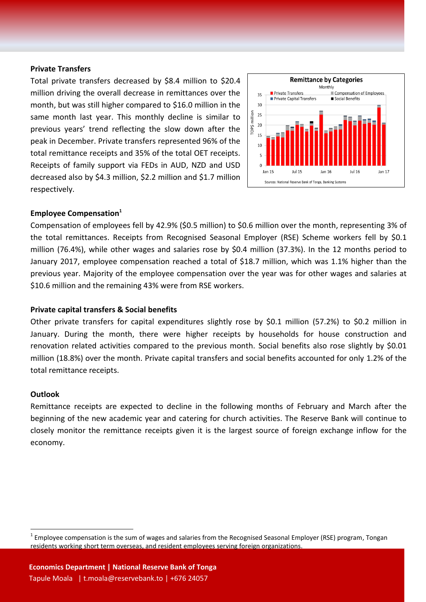#### **Private Transfers**

Total private transfers decreased by \$8.4 million to \$20.4 million driving the overall decrease in remittances over the month, but was still higher compared to \$16.0 million in the same month last year. This monthly decline is similar to previous years' trend reflecting the slow down after the peak in December. Private transfers represented 96% of the total remittance receipts and 35% of the total OET receipts. Receipts of family support via FEDs in AUD, NZD and USD decreased also by \$4.3 million, \$2.2 million and \$1.7 million respectively.



## **Employee Compensation<sup>1</sup>**

Compensation of employees fell by 42.9% (\$0.5 million) to \$0.6 million over the month, representing 3% of the total remittances. Receipts from Recognised Seasonal Employer (RSE) Scheme workers fell by \$0.1 million (76.4%), while other wages and salaries rose by \$0.4 million (37.3%). In the 12 months period to January 2017, employee compensation reached a total of \$18.7 million, which was 1.1% higher than the previous year. Majority of the employee compensation over the year was for other wages and salaries at \$10.6 million and the remaining 43% were from RSE workers.

# **Private capital transfers & Social benefits**

Other private transfers for capital expenditures slightly rose by \$0.1 million (57.2%) to \$0.2 million in January. During the month, there were higher receipts by households for house construction and renovation related activities compared to the previous month. Social benefits also rose slightly by \$0.01 million (18.8%) over the month. Private capital transfers and social benefits accounted for only 1.2% of the total remittance receipts.

#### **Outlook**

 $\overline{a}$ 

Remittance receipts are expected to decline in the following months of February and March after the beginning of the new academic year and catering for church activities. The Reserve Bank will continue to closely monitor the remittance receipts given it is the largest source of foreign exchange inflow for the economy.

 $^1$  Employee compensation is the sum of wages and salaries from the Recognised Seasonal Employer (RSE) program, Tongan residents working short term overseas, and resident employees serving foreign organizations.